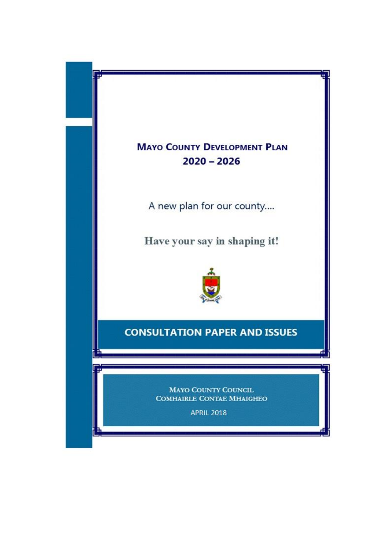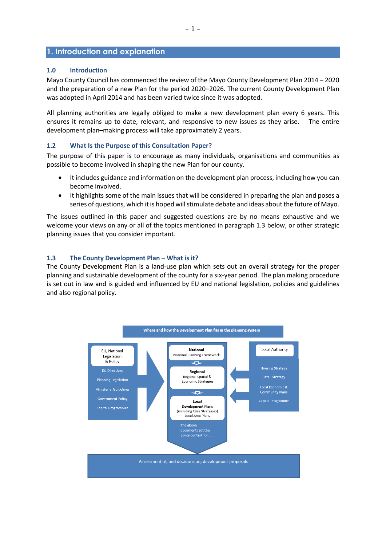# **1. Introduction and explanation**

## **1.0 Introduction**

Mayo County Council has commenced the review of the Mayo County Development Plan 2014 – 2020 and the preparation of a new Plan for the period 2020–2026. The current County Development Plan was adopted in April 2014 and has been varied twice since it was adopted.

All planning authorities are legally obliged to make a new development plan every 6 years. This ensures it remains up to date, relevant, and responsive to new issues as they arise. The entire development plan–making process will take approximately 2 years.

## **1.2 What Is the Purpose of this Consultation Paper?**

The purpose of this paper is to encourage as many individuals, organisations and communities as possible to become involved in shaping the new Plan for our county.

- It includes guidance and information on the development plan process, including how you can become involved.
- It highlights some of the main issues that will be considered in preparing the plan and poses a series of questions, which it is hoped will stimulate debate and ideas about the future of Mayo.

The issues outlined in this paper and suggested questions are by no means exhaustive and we welcome your views on any or all of the topics mentioned in paragraph 1.3 below, or other strategic planning issues that you consider important.

#### **1.3 The County Development Plan – What is it?**

The County Development Plan is a land-use plan which sets out an overall strategy for the proper planning and sustainable development of the county for a six-year period. The plan making procedure is set out in law and is guided and influenced by EU and national legislation, policies and guidelines and also regional policy.

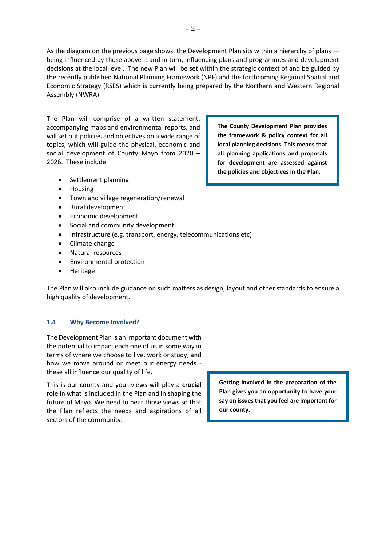As the diagram on the previous page shows, the Development Plan sits within a hierarchy of plans being influenced by those above it and in turn, influencing plans and programmes and development decisions at the local level. The new Plan will be set within the strategic context of and be guided by the recently published National Planning Framework (NPF) and the forthcoming Regional Spatial and Economic Strategy (RSES) which is currently being prepared by the Northern and Western Regional Assembly (NWRA).

The Plan will comprise of a written statement, accompanying maps and environmental reports, and will set out policies and objectives on a wide range of topics, which will guide the physical, economic and social development of County Mayo from 2020 – 2026. These include;

**The County Development Plan provides the framework & policy context for all local planning decisions. This means that all planning applications and proposals for development are assessed against the policies and objectives in the Plan.** 

- Settlement planning
- Housing
- Town and village regeneration/renewal
- Rural development
- Economic development
- Social and community development
- Infrastructure (e.g. transport, energy, telecommunications etc)
- Climate change
- Natural resources
- Environmental protection
- Heritage

The Plan will also include guidance on such matters as design, layout and other standards to ensure a high quality of development.

## **1.4 Why Become Involved?**

The Development Plan is an important document with the potential to impact each one of us in some way in terms of where we choose to live, work or study, and how we move around or meet our energy needs these all influence our quality of life.

This is our county and your views will play a **crucial**  role in what is included in the Plan and in shaping the future of Mayo. We need to hear those views so that the Plan reflects the needs and aspirations of all sectors of the community.

**Getting involved in the preparation of the Plan gives you an opportunity to have your say on issues that you feel are important for our county.**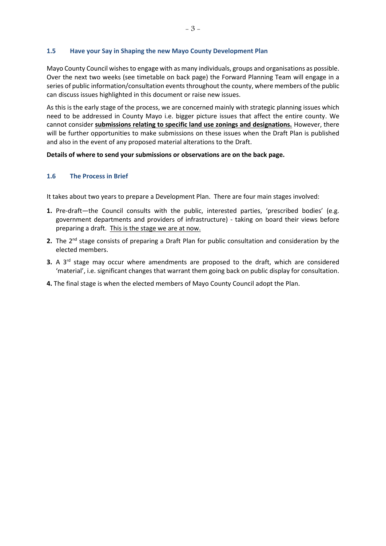# **1.5 Have your Say in Shaping the new Mayo County Development Plan**

Mayo County Council wishesto engage with as many individuals, groups and organisations as possible. Over the next two weeks (see timetable on back page) the Forward Planning Team will engage in a series of public information/consultation events throughout the county, where members of the public can discuss issues highlighted in this document or raise new issues.

As this is the early stage of the process, we are concerned mainly with strategic planning issues which need to be addressed in County Mayo i.e. bigger picture issues that affect the entire county. We cannot consider **submissions relating to specific land use zonings and designations.** However, there will be further opportunities to make submissions on these issues when the Draft Plan is published and also in the event of any proposed material alterations to the Draft.

# **Details of where to send your submissions or observations are on the back page.**

# **1.6 The Process in Brief**

It takes about two years to prepare a Development Plan. There are four main stages involved:

- **1.** Pre-draft—the Council consults with the public, interested parties, 'prescribed bodies' (e.g. government departments and providers of infrastructure) - taking on board their views before preparing a draft. This is the stage we are at now.
- **2.** The 2<sup>nd</sup> stage consists of preparing a Draft Plan for public consultation and consideration by the elected members.
- **3.** A 3<sup>rd</sup> stage may occur where amendments are proposed to the draft, which are considered 'material', i.e. significant changes that warrant them going back on public display for consultation.
- **4.** The final stage is when the elected members of Mayo County Council adopt the Plan.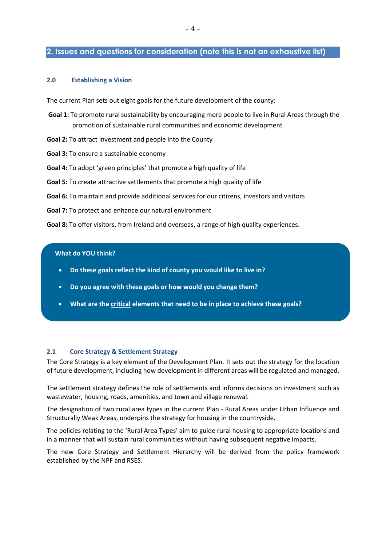# **2. Issues and questions for consideration (note this is not an exhaustive list)**

#### **2.0 Establishing a Vision**

The current Plan sets out eight goals for the future development of the county:

- **Goal 1:** To promote rural sustainability by encouraging more people to live in Rural Areas through the promotion of sustainable rural communities and economic development
- **Goal 2:** To attract investment and people into the County
- **Goal 3:** To ensure a sustainable economy
- **Goal 4:** To adopt 'green principles' that promote a high quality of life
- **Goal 5:** To create attractive settlements that promote a high quality of life
- **Goal 6:** To maintain and provide additional services for our citizens, investors and visitors
- **Goal 7:** To protect and enhance our natural environment

**Goal 8:** To offer visitors, from Ireland and overseas, a range of high quality experiences.

#### **What do YOU think?**

Ì

- **Do these goals reflect the kind of county you would like to live in?**
- **Do you agree with these goals or how would you change them?**
- **What are the critical elements that need to be in place to achieve these goals?**

#### **2.1 Core Strategy & Settlement Strategy**

The Core Strategy is a key element of the Development Plan**.** It sets out the strategy for the location of future development, including how development in different areas will be regulated and managed.

The settlement strategy defines the role of settlements and informs decisions on investment such as wastewater, housing, roads, amenities, and town and village renewal.

The designation of two rural area types in the current Plan - Rural Areas under Urban Influence and Structurally Weak Areas, underpins the strategy for housing in the countryside.

The policies relating to the 'Rural Area Types' aim to guide rural housing to appropriate locations and in a manner that will sustain rural communities without having subsequent negative impacts.

The new Core Strategy and Settlement Hierarchy will be derived from the policy framework established by the NPF and RSES.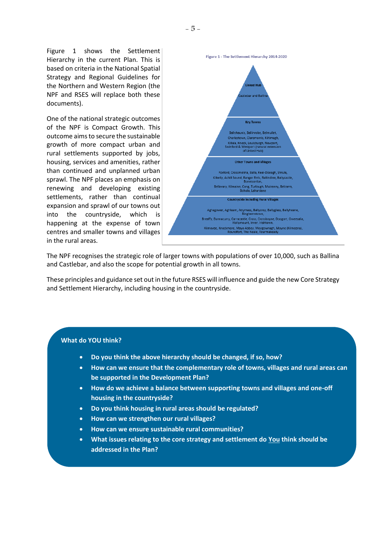Figure 1 shows the Settlement Hierarchy in the current Plan. This is based on criteria in the National Spatial Strategy and Regional Guidelines for the Northern and Western Region (the NPF and RSES will replace both these documents).

One of the national strategic outcomes of the NPF is Compact Growth. This outcome aims to secure the sustainable growth of more compact urban and rural settlements supported by jobs, housing, services and amenities, rather than continued and unplanned urban sprawl. The NPF places an emphasis on renewing and developing existing settlements, rather than continual expansion and sprawl of our towns out into the countryside, which is happening at the expense of town centres and smaller towns and villages in the rural areas.



The NPF recognises the strategic role of larger towns with populations of over 10,000, such as Ballina and Castlebar, and also the scope for potential growth in all towns.

These principles and guidance set out in the future RSES will influence and guide the new Core Strategy and Settlement Hierarchy, including housing in the countryside.

- **Do you think the above hierarchy should be changed, if so, how?**
- **How can we ensure that the complementary role of towns, villages and rural areas can be supported in the Development Plan?**
- **How do we achieve a balance between supporting towns and villages and one-off housing in the countryside?**
- **Do you think housing in rural areas should be regulated?**
- **How can we strengthen our rural villages?**
- **How can we ensure sustainable rural communities?**
- **What issues relating to the core strategy and settlement do You think should be addressed in the Plan?**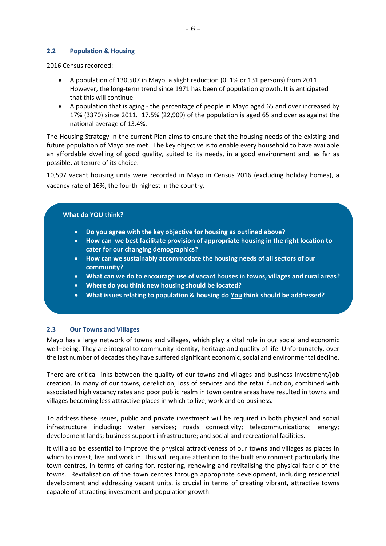#### **2.2 Population & Housing**

2016 Census recorded:

- A population of 130,507 in Mayo, a slight reduction (0. 1% or 131 persons) from 2011. However, the long-term trend since 1971 has been of population growth. It is anticipated that this will continue.
- A population that is aging the percentage of people in Mayo aged 65 and over increased by 17% (3370) since 2011. 17.5% (22,909) of the population is aged 65 and over as against the national average of 13.4%.

The Housing Strategy in the current Plan aims to ensure that the housing needs of the existing and future population of Mayo are met. The key objective is to enable every household to have available an affordable dwelling of good quality, suited to its needs, in a good environment and, as far as possible, at tenure of its choice.

10,597 vacant housing units were recorded in Mayo in Census 2016 (excluding holiday homes), a vacancy rate of 16%, the fourth highest in the country.

#### **What do YOU think?**

- **Do you agree with the key objective for housing as outlined above?**
- **How can we best facilitate provision of appropriate housing in the right location to cater for our changing demographics?**
- **How can we sustainably accommodate the housing needs of all sectors of our community?**
- **What can we do to encourage use of vacant houses in towns, villages and rural areas?**
- **Where do you think new housing should be located?**
- **What issues relating to population & housing do You think should be addressed?**

#### **2.3 Our Towns and Villages**

Mayo has a large network of towns and villages, which play a vital role in our social and economic well–being. They are integral to community identity, heritage and quality of life. Unfortunately, over the last number of decades they have suffered significant economic, social and environmental decline.

There are critical links between the quality of our towns and villages and business investment/job creation. In many of our towns, dereliction, loss of services and the retail function, combined with associated high vacancy rates and poor public realm in town centre areas have resulted in towns and villages becoming less attractive places in which to live, work and do business.

To address these issues, public and private investment will be required in both physical and social infrastructure including: water services; roads connectivity; telecommunications; energy; development lands; business support infrastructure; and social and recreational facilities.

It will also be essential to improve the physical attractiveness of our towns and villages as places in which to invest, live and work in. This will require attention to the built environment particularly the town centres, in terms of caring for, restoring, renewing and revitalising the physical fabric of the towns. Revitalisation of the town centres through appropriate development, including residential development and addressing vacant units, is crucial in terms of creating vibrant, attractive towns capable of attracting investment and population growth.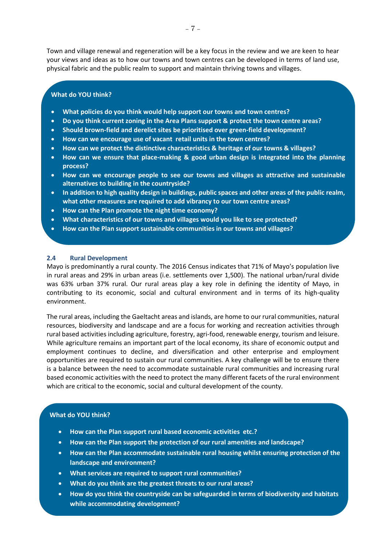Town and village renewal and regeneration will be a key focus in the review and we are keen to hear your views and ideas as to how our towns and town centres can be developed in terms of land use, physical fabric and the public realm to support and maintain thriving towns and villages.

#### **What do YOU think?**

- **What policies do you think would help support our towns and town centres?**
- **Do you think current zoning in the Area Plans support & protect the town centre areas?**
- **Should brown-field and derelict sites be prioritised over green-field development?**
- **How can we encourage use of vacant retail units in the town centres?**
- **How can we protect the distinctive characteristics & heritage of our towns & villages?**
- **How can we ensure that place-making & good urban design is integrated into the planning process?**
- **How can we encourage people to see our towns and villages as attractive and sustainable alternatives to building in the countryside?**
- **In addition to high quality design in buildings, public spaces and other areas of the public realm, what other measures are required to add vibrancy to our town centre areas?**
- **How can the Plan promote the night time economy?**
- **What characteristics of our towns and villages would you like to see protected?**
- **How can the Plan support sustainable communities in our towns and villages?**

#### **2.4 Rural Development**

Mayo is predominantly a rural county. The 2016 Census indicates that 71% of Mayo's population live in rural areas and 29% in urban areas (i.e. settlements over 1,500). The national urban/rural divide was 63% urban 37% rural. Our rural areas play a key role in defining the identity of Mayo, in contributing to its economic, social and cultural environment and in terms of its high-quality environment.

The rural areas, including the Gaeltacht areas and islands, are home to our rural communities, natural resources, biodiversity and landscape and are a focus for working and recreation activities through rural based activities including agriculture, forestry, agri-food, renewable energy, tourism and leisure. While agriculture remains an important part of the local economy, its share of economic output and employment continues to decline, and diversification and other enterprise and employment opportunities are required to sustain our rural communities. A key challenge will be to ensure there is a balance between the need to accommodate sustainable rural communities and increasing rural based economic activities with the need to protect the many different facets of the rural environment which are critical to the economic, social and cultural development of the county.

- **How can the Plan support rural based economic activities etc.?**
- **How can the Plan support the protection of our rural amenities and landscape?**
- **How can the Plan accommodate sustainable rural housing whilst ensuring protection of the landscape and environment?**
- **What services are required to support rural communities?**
- **What do you think are the greatest threats to our rural areas?**
- **How do you think the countryside can be safeguarded in terms of biodiversity and habitats while accommodating development?**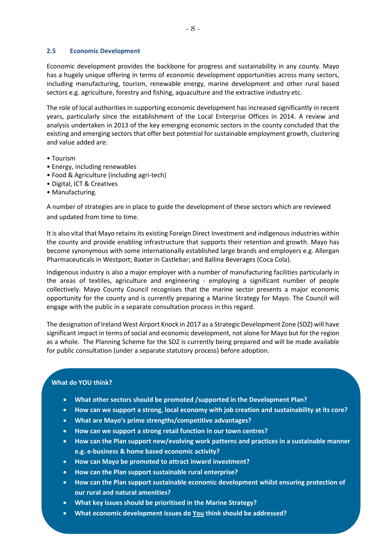#### **2.5 Economic Development**

Economic development provides the backbone for progress and sustainability in any county. Mayo has a hugely unique offering in terms of economic development opportunities across many sectors, including manufacturing, tourism, renewable energy, marine development and other rural based sectors e.g. agriculture, forestry and fishing, aquaculture and the extractive industry etc.

The role of local authorities in supporting economic development has increased significantly in recent years, particularly since the establishment of the Local Enterprise Offices in 2014. A review and analysis undertaken in 2013 of the key emerging economic sectors in the county concluded that the existing and emerging sectors that offer best potential for sustainable employment growth, clustering and value added are:

- Tourism
- Energy, including renewables
- Food & Agriculture (including agri-tech)
- Digital, ICT & Creatives
- Manufacturing.

A number of strategies are in place to guide the development of these sectors which are reviewed and updated from time to time.

It is also vital that Mayo retains its existing Foreign Direct Investment and indigenous industries within the county and provide enabling infrastructure that supports their retention and growth. Mayo has become synonymous with some internationally established large brands and employers e.g. Allergan Pharmaceuticals in Westport; Baxter in Castlebar; and Ballina Beverages (Coca Cola).

Indigenous industry is also a major employer with a number of manufacturing facilities particularly in the areas of textiles, agriculture and engineering - employing a significant number of people collectively. Mayo County Council recognises that the marine sector presents a major economic opportunity for the county and is currently preparing a Marine Strategy for Mayo. The Council will engage with the public in a separate consultation process in this regard.

The designation of Ireland West Airport Knock in 2017 as a Strategic Development Zone (SDZ) will have significant impact in terms of social and economic development, not alone for Mayo but for the region as a whole. The Planning Scheme for the SDZ is currently being prepared and will be made available for public consultation (under a separate statutory process) before adoption.

- **What other sectors should be promoted /supported in the Development Plan?**
- **How can we support a strong, local economy with job creation and sustainability at its core?**
- **What are Mayo's prime strengths/competitive advantages?**
- **How can we support a strong retail function in our town centres?**
- **How can the Plan support new/evolving work patterns and practices in a sustainable manner e.g. e-business & home based economic activity?**
- **How can Mayo be promoted to attract inward investment?**
- **How can the Plan support sustainable rural enterprise?**
- **How can the Plan support sustainable economic development whilst ensuring protection of our rural and natural amenities?**
- **What key issues should be prioritised in the Marine Strategy?**
- **What economic development issues do You think should be addressed?**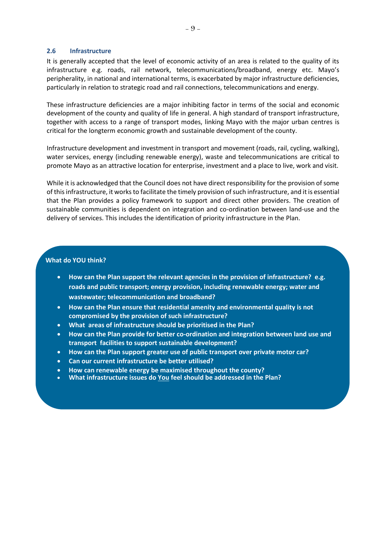#### **2.6 Infrastructure**

It is generally accepted that the level of economic activity of an area is related to the quality of its infrastructure e.g. roads, rail network, telecommunications/broadband, energy etc. Mayo's peripherality, in national and international terms, is exacerbated by major infrastructure deficiencies, particularly in relation to strategic road and rail connections, telecommunications and energy.

These infrastructure deficiencies are a major inhibiting factor in terms of the social and economic development of the county and quality of life in general. A high standard of transport infrastructure, together with access to a range of transport modes, linking Mayo with the major urban centres is critical for the longterm economic growth and sustainable development of the county.

Infrastructure development and investment in transport and movement (roads, rail, cycling, walking), water services, energy (including renewable energy), waste and telecommunications are critical to promote Mayo as an attractive location for enterprise, investment and a place to live, work and visit.

While it is acknowledged that the Council does not have direct responsibility for the provision of some of this infrastructure, it works to facilitate the timely provision of such infrastructure, and it is essential that the Plan provides a policy framework to support and direct other providers. The creation of sustainable communities is dependent on integration and co-ordination between land-use and the delivery of services. This includes the identification of priority infrastructure in the Plan.

- **How can the Plan support the relevant agencies in the provision of infrastructure? e.g. roads and public transport; energy provision, including renewable energy; water and wastewater; telecommunication and broadband?**
- **How can the Plan ensure that residential amenity and environmental quality is not compromised by the provision of such infrastructure?**
- **What areas of infrastructure should be prioritised in the Plan?**
- **How can the Plan provide for better co-ordination and integration between land use and transport facilities to support sustainable development?**
- **How can the Plan support greater use of public transport over private motor car?**
- **Can our current infrastructure be better utilised?**
- **How can renewable energy be maximised throughout the county?**
- **What infrastructure issues do You feel should be addressed in the Plan?**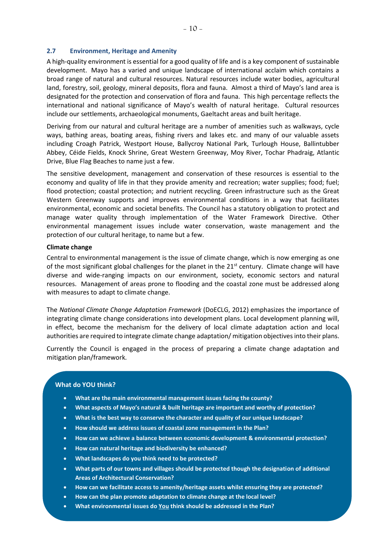#### **2.7 Environment, Heritage and Amenity**

A high-quality environment is essential for a good quality of life and is a key component of sustainable development. Mayo has a varied and unique landscape of international acclaim which contains a broad range of natural and cultural resources. Natural resources include water bodies, agricultural land, forestry, soil, geology, mineral deposits, flora and fauna. Almost a third of Mayo's land area is designated for the protection and conservation of flora and fauna. This high percentage reflects the international and national significance of Mayo's wealth of natural heritage. Cultural resources include our settlements, archaeological monuments, Gaeltacht areas and built heritage.

Deriving from our natural and cultural heritage are a number of amenities such as walkways, cycle ways, bathing areas, boating areas, fishing rivers and lakes etc. and many of our valuable assets including Croagh Patrick, Westport House, Ballycroy National Park, Turlough House, Ballintubber Abbey, Céide Fields, Knock Shrine, Great Western Greenway, Moy River, Tochar Phadraig, Atlantic Drive, Blue Flag Beaches to name just a few.

The sensitive development, management and conservation of these resources is essential to the economy and quality of life in that they provide amenity and recreation; water supplies; food; fuel; flood protection; coastal protection; and nutrient recycling. Green infrastructure such as the Great Western Greenway supports and improves environmental conditions in a way that facilitates environmental, economic and societal benefits. The Council has a statutory obligation to protect and manage water quality through implementation of the Water Framework Directive. Other environmental management issues include water conservation, waste management and the protection of our cultural heritage, to name but a few.

## **Climate change**

Central to environmental management is the issue of climate change, which is now emerging as one of the most significant global challenges for the planet in the  $21<sup>st</sup>$  century. Climate change will have diverse and wide-ranging impacts on our environment, society, economic sectors and natural resources. Management of areas prone to flooding and the coastal zone must be addressed along with measures to adapt to climate change.

The *National Climate Change Adaptation Framework* (DoECLG, 2012) emphasizes the importance of integrating climate change considerations into development plans. Local development planning will, in effect, become the mechanism for the delivery of local climate adaptation action and local authorities are required to integrate climate change adaptation/ mitigation objectives into their plans.

Currently the Council is engaged in the process of preparing a climate change adaptation and mitigation plan/framework.

## **What do YOU think?**

l

- **What are the main environmental management issues facing the county?**
- **What aspects of Mayo's natural & built heritage are important and worthy of protection?**
- **What is the best way to conserve the character and quality of our unique landscape?**
- **How should we address issues of coastal zone management in the Plan?**
- **How can we achieve a balance between economic development & environmental protection?**
- **How can natural heritage and biodiversity be enhanced?**
- **What landscapes do you think need to be protected?**
- **What parts of our towns and villages should be protected though the designation of additional Areas of Architectural Conservation?**
- **How can we facilitate access to amenity/heritage assets whilst ensuring they are protected?**
- **How can the plan promote adaptation to climate change at the local level?**
- **What environmental issues do You think should be addressed in the Plan?**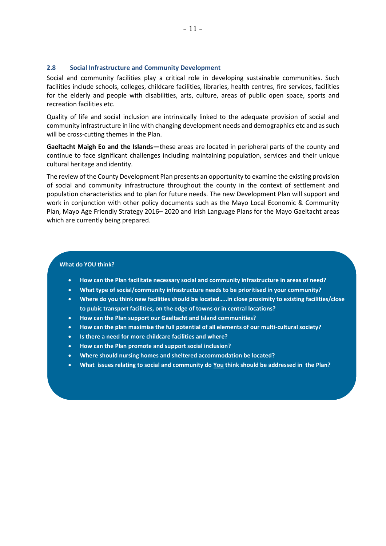#### **2.8 Social Infrastructure and Community Development**

Social and community facilities play a critical role in developing sustainable communities. Such facilities include schools, colleges, childcare facilities, libraries, health centres, fire services, facilities for the elderly and people with disabilities, arts, culture, areas of public open space, sports and recreation facilities etc.

Quality of life and social inclusion are intrinsically linked to the adequate provision of social and community infrastructure in line with changing development needs and demographics etc and as such will be cross-cutting themes in the Plan.

**Gaeltacht Maigh Eo and the Islands—**these areas are located in peripheral parts of the county and continue to face significant challenges including maintaining population, services and their unique cultural heritage and identity.

The review of the County Development Plan presents an opportunity to examine the existing provision of social and community infrastructure throughout the county in the context of settlement and population characteristics and to plan for future needs. The new Development Plan will support and work in conjunction with other policy documents such as the Mayo Local Economic & Community Plan, Mayo Age Friendly Strategy 2016– 2020 and Irish Language Plans for the Mayo Gaeltacht areas which are currently being prepared.

- **How can the Plan facilitate necessary social and community infrastructure in areas of need?**
- **What type of social/community infrastructure needs to be prioritised in your community?**
- **Where do you think new facilities should be located…..in close proximity to existing facilities/close to pubic transport facilities, on the edge of towns or in central locations?**
- **How can the Plan support our Gaeltacht and Island communities?**
- **How can the plan maximise the full potential of all elements of our multi-cultural society?**
- **Is there a need for more childcare facilities and where?**
- **How can the Plan promote and support social inclusion?**
- **Where should nursing homes and sheltered accommodation be located?**
- **What issues relating to social and community do You think should be addressed in the Plan?**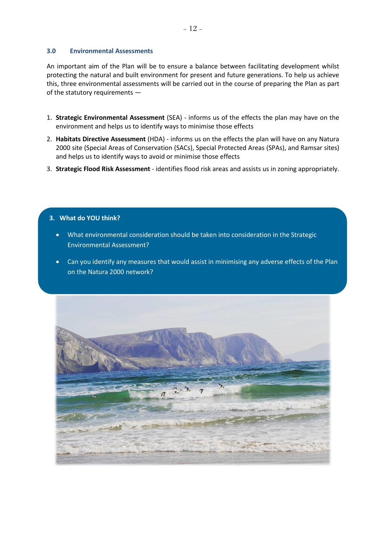## **3.0 Environmental Assessments**

An important aim of the Plan will be to ensure a balance between facilitating development whilst protecting the natural and built environment for present and future generations. To help us achieve this, three environmental assessments will be carried out in the course of preparing the Plan as part of the statutory requirements —

- 1. **Strategic Environmental Assessment** (SEA) informs us of the effects the plan may have on the environment and helps us to identify ways to minimise those effects
- 2. **Habitats Directive Assessment** (HDA) informs us on the effects the plan will have on any Natura 2000 site (Special Areas of Conservation (SACs), Special Protected Areas (SPAs), and Ramsar sites) and helps us to identify ways to avoid or minimise those effects
- 3. **Strategic Flood Risk Assessment**  identifies flood risk areas and assists us in zoning appropriately.

- What environmental consideration should be taken into consideration in the Strategic Environmental Assessment?
- Can you identify any measures that would assist in minimising any adverse effects of the Plan on the Natura 2000 network?

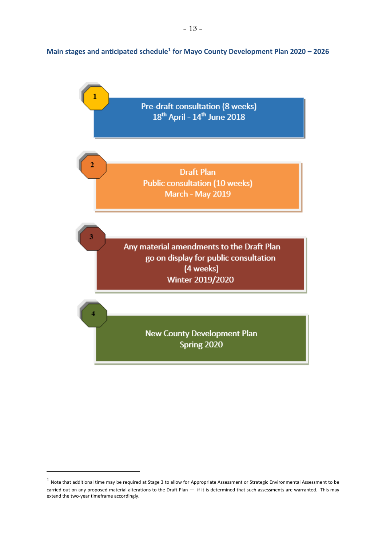# **Main stages and anticipated schedule<sup>1</sup> for Mayo County Development Plan 2020 – 2026**



-

 $^1$  Note that additional time may be required at Stage 3 to allow for Appropriate Assessment or Strategic Environmental Assessment to be carried out on any proposed material alterations to the Draft Plan — if it is determined that such assessments are warranted. This may extend the two-year timeframe accordingly.